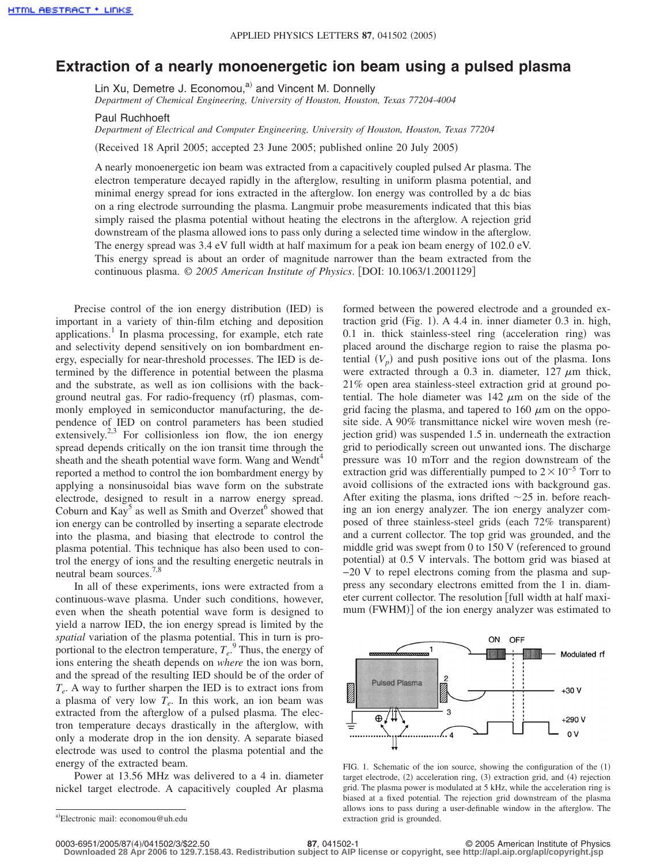## **Extraction of a nearly monoenergetic ion beam using a pulsed plasma**

Lin Xu, Demetre J. Economou,<sup>a)</sup> and Vincent M. Donnelly *Department of Chemical Engineering, University of Houston, Houston, Texas 77204-4004*

Paul Ruchhoeft

*Department of Electrical and Computer Engineering, University of Houston, Houston, Texas 77204*

Received 18 April 2005; accepted 23 June 2005; published online 20 July 2005-

A nearly monoenergetic ion beam was extracted from a capacitively coupled pulsed Ar plasma. The electron temperature decayed rapidly in the afterglow, resulting in uniform plasma potential, and minimal energy spread for ions extracted in the afterglow. Ion energy was controlled by a dc bias on a ring electrode surrounding the plasma. Langmuir probe measurements indicated that this bias simply raised the plasma potential without heating the electrons in the afterglow. A rejection grid downstream of the plasma allowed ions to pass only during a selected time window in the afterglow. The energy spread was 3.4 eV full width at half maximum for a peak ion beam energy of 102.0 eV. This energy spread is about an order of magnitude narrower than the beam extracted from the continuous plasma. © *2005 American Institute of Physics*. DOI: 10.1063/1.2001129

Precise control of the ion energy distribution (IED) is important in a variety of thin-film etching and deposition applications.<sup>1</sup> In plasma processing, for example, etch rate and selectivity depend sensitively on ion bombardment energy, especially for near-threshold processes. The IED is determined by the difference in potential between the plasma and the substrate, as well as ion collisions with the background neutral gas. For radio-frequency (rf) plasmas, commonly employed in semiconductor manufacturing, the dependence of IED on control parameters has been studied extensively.<sup>2,3</sup> For collisionless ion flow, the ion energy spread depends critically on the ion transit time through the sheath and the sheath potential wave form. Wang and Wendt<sup>4</sup> reported a method to control the ion bombardment energy by applying a nonsinusoidal bias wave form on the substrate electrode, designed to result in a narrow energy spread. Coburn and  $\text{Kay}^5$  as well as Smith and Overzet<sup>6</sup> showed that ion energy can be controlled by inserting a separate electrode into the plasma, and biasing that electrode to control the plasma potential. This technique has also been used to control the energy of ions and the resulting energetic neutrals in neutral beam sources.7,8

In all of these experiments, ions were extracted from a continuous-wave plasma. Under such conditions, however, even when the sheath potential wave form is designed to yield a narrow IED, the ion energy spread is limited by the *spatial* variation of the plasma potential. This in turn is proportional to the electron temperature,  $T_e$ <sup>9</sup>. Thus, the energy of ions entering the sheath depends on *where* the ion was born, and the spread of the resulting IED should be of the order of  $T_e$ . A way to further sharpen the IED is to extract ions from a plasma of very low  $T_e$ . In this work, an ion beam was extracted from the afterglow of a pulsed plasma. The electron temperature decays drastically in the afterglow, with only a moderate drop in the ion density. A separate biased electrode was used to control the plasma potential and the energy of the extracted beam.

Power at 13.56 MHz was delivered to a 4 in. diameter nickel target electrode. A capacitively coupled Ar plasma

formed between the powered electrode and a grounded extraction grid (Fig. 1). A 4.4 in. inner diameter 0.3 in. high, 0.1 in. thick stainless-steel ring (acceleration ring) was placed around the discharge region to raise the plasma potential  $(V_p)$  and push positive ions out of the plasma. Ions were extracted through a 0.3 in. diameter,  $127 \mu m$  thick, 21% open area stainless-steel extraction grid at ground potential. The hole diameter was  $142 \mu m$  on the side of the grid facing the plasma, and tapered to 160  $\mu$ m on the opposite side. A 90% transmittance nickel wire woven mesh (rejection grid) was suspended 1.5 in. underneath the extraction grid to periodically screen out unwanted ions. The discharge pressure was 10 mTorr and the region downstream of the extraction grid was differentially pumped to  $2 \times 10^{-5}$  Torr to avoid collisions of the extracted ions with background gas. After exiting the plasma, ions drifted  $\sim$ 25 in. before reaching an ion energy analyzer. The ion energy analyzer composed of three stainless-steel grids (each 72% transparent) and a current collector. The top grid was grounded, and the middle grid was swept from  $0$  to  $150$  V (referenced to ground potential) at 0.5 V intervals. The bottom grid was biased at −20 V to repel electrons coming from the plasma and suppress any secondary electrons emitted from the 1 in. diameter current collector. The resolution [full width at half maximum (FWHM)] of the ion energy analyzer was estimated to



FIG. 1. Schematic of the ion source, showing the configuration of the (1) target electrode, (2) acceleration ring, (3) extraction grid, and (4) rejection grid. The plasma power is modulated at 5 kHz, while the acceleration ring is biased at a fixed potential. The rejection grid downstream of the plasma allows ions to pass during a user-definable window in the afterglow. The extraction grid is grounded.

**Downloaded 28 Apr 2006 to 129.7.158.43. Redistribution subject to AIP license or copyright, see http://apl.aip.org/apl/copyright.jsp**

a)Electronic mail: economou@uh.edu

**<sup>87</sup>**, 041502-1 © 2005 American Institute of Physics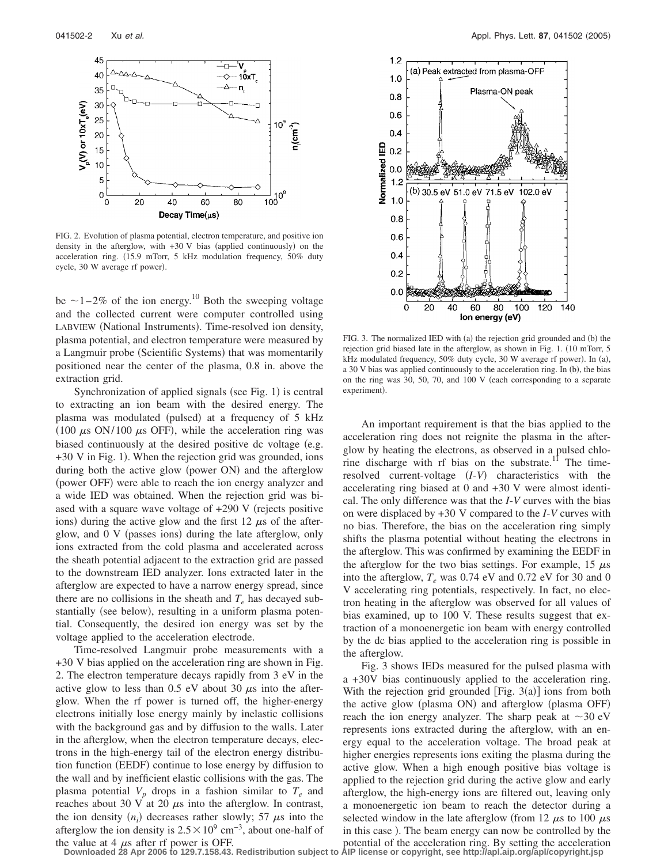

FIG. 2. Evolution of plasma potential, electron temperature, and positive ion density in the afterglow, with  $+30$  V bias (applied continuously) on the acceleration ring. (15.9 mTorr, 5 kHz modulation frequency, 50% duty cycle, 30 W average rf power).

be  $\sim$  1–2% of the ion energy.<sup>10</sup> Both the sweeping voltage and the collected current were computer controlled using LABVIEW (National Instruments). Time-resolved ion density, plasma potential, and electron temperature were measured by a Langmuir probe (Scientific Systems) that was momentarily positioned near the center of the plasma, 0.8 in. above the extraction grid.

Synchronization of applied signals (see Fig. 1) is central to extracting an ion beam with the desired energy. The plasma was modulated (pulsed) at a frequency of 5 kHz (100  $\mu$ s ON/100  $\mu$ s OFF), while the acceleration ring was biased continuously at the desired positive dc voltage (e.g. +30 V in Fig. 1). When the rejection grid was grounded, ions during both the active glow (power ON) and the afterglow (power OFF) were able to reach the ion energy analyzer and a wide IED was obtained. When the rejection grid was biased with a square wave voltage of  $+290$  V (rejects positive ions) during the active glow and the first 12  $\mu$ s of the afterglow, and 0 V (passes ions) during the late afterglow, only ions extracted from the cold plasma and accelerated across the sheath potential adjacent to the extraction grid are passed to the downstream IED analyzer. Ions extracted later in the afterglow are expected to have a narrow energy spread, since there are no collisions in the sheath and  $T_e$  has decayed substantially (see below), resulting in a uniform plasma potential. Consequently, the desired ion energy was set by the voltage applied to the acceleration electrode.

Time-resolved Langmuir probe measurements with a +30 V bias applied on the acceleration ring are shown in Fig. 2. The electron temperature decays rapidly from 3 eV in the active glow to less than 0.5 eV about 30  $\mu$ s into the afterglow. When the rf power is turned off, the higher-energy electrons initially lose energy mainly by inelastic collisions with the background gas and by diffusion to the walls. Later in the afterglow, when the electron temperature decays, electrons in the high-energy tail of the electron energy distribution function (EEDF) continue to lose energy by diffusion to the wall and by inefficient elastic collisions with the gas. The plasma potential  $V_p$  drops in a fashion similar to  $T_e$  and reaches about 30 V at 20  $\mu$ s into the afterglow. In contrast, the ion density  $(n_i)$  decreases rather slowly; 57  $\mu$ s into the afterglow the ion density is  $2.5 \times 10^9$  cm<sup>-3</sup>, about one-half of the value at 4  $\mu$ s after rf power is OFF.



FIG. 3. The normalized IED with (a) the rejection grid grounded and (b) the rejection grid biased late in the afterglow, as shown in Fig. 1. (10 mTorr, 5 kHz modulated frequency, 50% duty cycle, 30 W average rf power). In (a), a 30 V bias was applied continuously to the acceleration ring. In (b), the bias on the ring was  $30, 50, 70,$  and  $100$  V (each corresponding to a separate experiment).

An important requirement is that the bias applied to the acceleration ring does not reignite the plasma in the afterglow by heating the electrons, as observed in a pulsed chlorine discharge with rf bias on the substrate.<sup>11</sup> The timeresolved current-voltage  $(I-V)$  characteristics with the accelerating ring biased at 0 and +30 V were almost identical. The only difference was that the *I*-*V* curves with the bias on were displaced by +30 V compared to the *I*-*V* curves with no bias. Therefore, the bias on the acceleration ring simply shifts the plasma potential without heating the electrons in the afterglow. This was confirmed by examining the EEDF in the afterglow for the two bias settings. For example, 15  $\mu$ s into the afterglow,  $T_e$  was 0.74 eV and 0.72 eV for 30 and 0 V accelerating ring potentials, respectively. In fact, no electron heating in the afterglow was observed for all values of bias examined, up to 100 V. These results suggest that extraction of a monoenergetic ion beam with energy controlled by the dc bias applied to the acceleration ring is possible in the afterglow.

Fig. 3 shows IEDs measured for the pulsed plasma with a +30V bias continuously applied to the acceleration ring. With the rejection grid grounded  $[Fig. 3(a)]$  ions from both the active glow (plasma ON) and afterglow (plasma OFF) reach the ion energy analyzer. The sharp peak at  $\sim$ 30 eV represents ions extracted during the afterglow, with an energy equal to the acceleration voltage. The broad peak at higher energies represents ions exiting the plasma during the active glow. When a high enough positive bias voltage is applied to the rejection grid during the active glow and early afterglow, the high-energy ions are filtered out, leaving only a monoenergetic ion beam to reach the detector during a selected window in the late afterglow (from 12  $\mu$ s to 100  $\mu$ s in this case ). The beam energy can now be controlled by the potential of the acceleration ring. By setting the acceleration

**Downloaded 28 Apr 2006 to 129.7.158.43. Redistribution subject to AIP license or copyright, see http://apl.aip.org/apl/copyright.jsp**